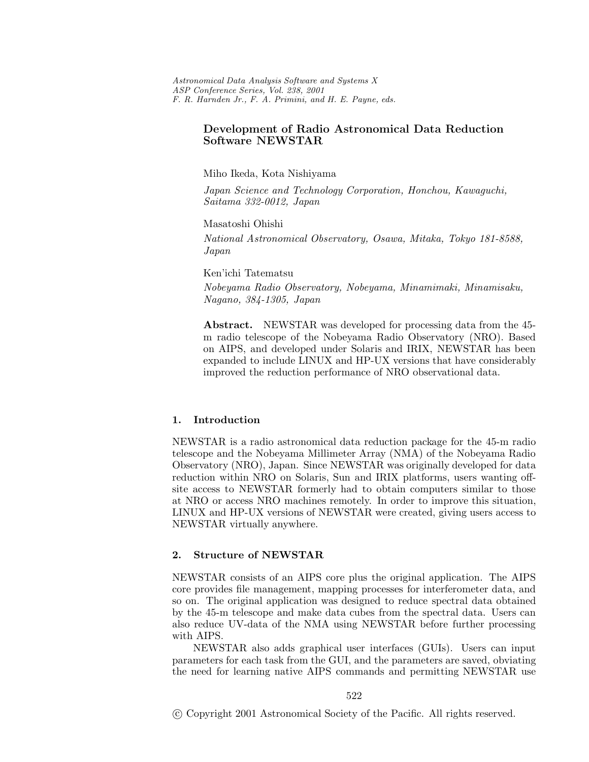# **Development of Radio Astronomical Data Reduction Software NEWSTAR**

Miho Ikeda, Kota Nishiyama

*Japan Science and Technology Corporation, Honchou, Kawaguchi, Saitama 332-0012, Japan*

Masatoshi Ohishi

*National Astronomical Observatory, Osawa, Mitaka, Tokyo 181-8588, Japan*

Ken'ichi Tatematsu

*Nobeyama Radio Observatory, Nobeyama, Minamimaki, Minamisaku, Nagano, 384-1305, Japan*

**Abstract.** NEWSTAR was developed for processing data from the 45 m radio telescope of the Nobeyama Radio Observatory (NRO). Based on AIPS, and developed under Solaris and IRIX, NEWSTAR has been expanded to include LINUX and HP-UX versions that have considerably improved the reduction performance of NRO observational data.

## **1. Introduction**

NEWSTAR is a radio astronomical data reduction package for the 45-m radio telescope and the Nobeyama Millimeter Array (NMA) of the Nobeyama Radio Observatory (NRO), Japan. Since NEWSTAR was originally developed for data reduction within NRO on Solaris, Sun and IRIX platforms, users wanting offsite access to NEWSTAR formerly had to obtain computers similar to those at NRO or access NRO machines remotely. In order to improve this situation, LINUX and HP-UX versions of NEWSTAR were created, giving users access to NEWSTAR virtually anywhere.

### **2. Structure of NEWSTAR**

NEWSTAR consists of an AIPS core plus the original application. The AIPS core provides file management, mapping processes for interferometer data, and so on. The original application was designed to reduce spectral data obtained by the 45-m telescope and make data cubes from the spectral data. Users can also reduce UV-data of the NMA using NEWSTAR before further processing with AIPS.

NEWSTAR also adds graphical user interfaces (GUIs). Users can input parameters for each task from the GUI, and the parameters are saved, obviating the need for learning native AIPS commands and permitting NEWSTAR use

c Copyright 2001 Astronomical Society ofthe Pacific. All rights reserved.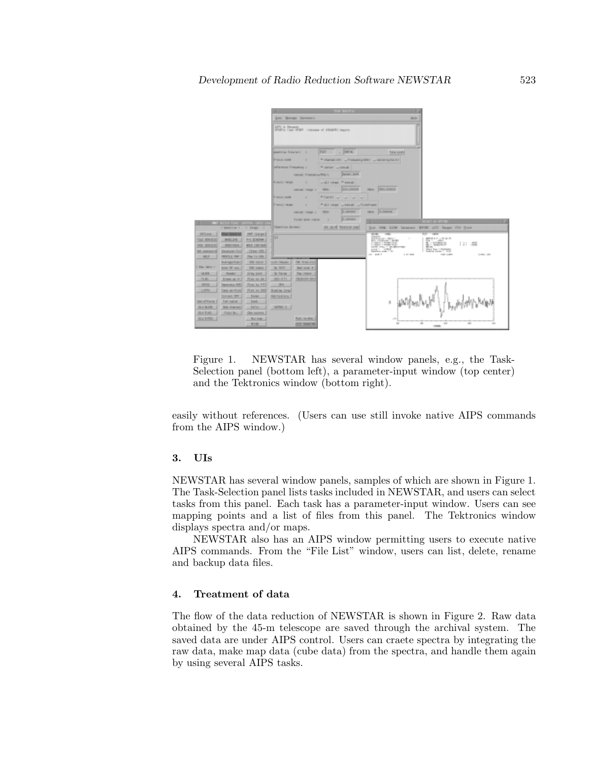

Figure 1. NEWSTAR has several window panels, e.g., the Task-Selection panel (bottom left), a parameter-input window (top center) and the Tektronics window (bottom right).

easily without references. (Users can use still invoke native AIPS commands from the AIPS window.)

### **3. UIs**

NEWSTAR has several window panels, samples of which are shown in Figure 1. The Task-Selection panel lists tasks included in NEWSTAR, and users can select tasks from this panel. Each task has a parameter-input window. Users can see mapping points and a list of files from this panel. The Tektronics window displays spectra and/or maps.

NEWSTAR also has an AIPS window permitting users to execute native AIPS commands. From the "File List" window, users can list, delete, rename and backup data files.

### **4. Treatment of data**

The flow of the data reduction of NEWSTAR is shown in Figure 2. Raw data obtained by the 45-m telescope are saved through the archival system. The saved data are under AIPS control. Users can craete spectra by integrating the raw data, make map data (cube data) from the spectra, and handle them again by using several AIPS tasks.